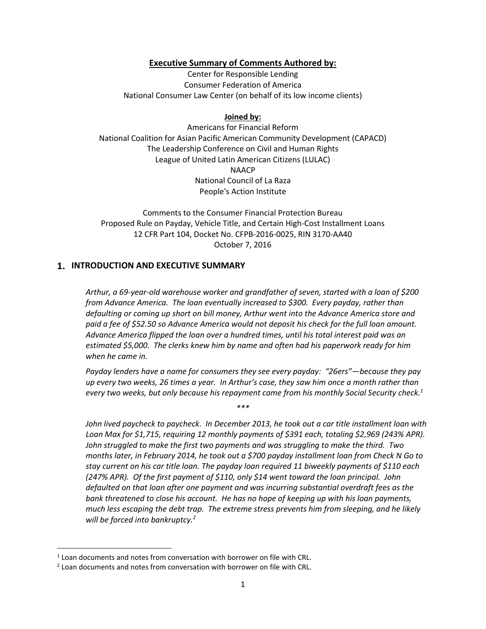#### **Executive Summary of Comments Authored by:**

Center for Responsible Lending Consumer Federation of America National Consumer Law Center (on behalf of its low income clients)

#### **Joined by:**

Americans for Financial Reform National Coalition for Asian Pacific American Community Development (CAPACD) The Leadership Conference on Civil and Human Rights League of United Latin American Citizens (LULAC) **NAACP** National Council of La Raza People's Action Institute

Comments to the Consumer Financial Protection Bureau Proposed Rule on Payday, Vehicle Title, and Certain High-Cost Installment Loans 12 CFR Part 104, Docket No. CFPB-2016-0025, RIN 3170-AA40 October 7, 2016

#### **1. INTRODUCTION AND EXECUTIVE SUMMARY**

*Arthur, a 69-year-old warehouse worker and grandfather of seven, started with a loan of \$200 from Advance America. The loan eventually increased to \$300. Every payday, rather than defaulting or coming up short on bill money, Arthur went into the Advance America store and paid a fee of \$52.50 so Advance America would not deposit his check for the full loan amount. Advance America flipped the loan over a hundred times, until his total interest paid was an estimated \$5,000. The clerks knew him by name and often had his paperwork ready for him when he came in.*

*Payday lenders have a name for consumers they see every payday: "26ers"—because they pay up every two weeks, 26 times a year. In Arthur's case, they saw him once a month rather than every two weeks, but only because his repayment came from his monthly Social Security check.<sup>1</sup>*

*\*\*\**

*John lived paycheck to paycheck. In December 2013, he took out a car title installment loan with Loan Max for \$1,715, requiring 12 monthly payments of \$391 each, totaling \$2,969 (243% APR). John struggled to make the first two payments and was struggling to make the third. Two months later, in February 2014, he took out a \$700 payday installment loan from Check N Go to stay current on his car title loan. The payday loan required 11 biweekly payments of \$110 each (247% APR). Of the first payment of \$110, only \$14 went toward the loan principal. John defaulted on that loan after one payment and was incurring substantial overdraft fees as the bank threatened to close his account. He has no hope of keeping up with his loan payments, much less escaping the debt trap. The extreme stress prevents him from sleeping, and he likely will be forced into bankruptcy.<sup>2</sup>*

l

 $<sup>1</sup>$  Loan documents and notes from conversation with borrower on file with CRL.</sup>

<sup>&</sup>lt;sup>2</sup> Loan documents and notes from conversation with borrower on file with CRL.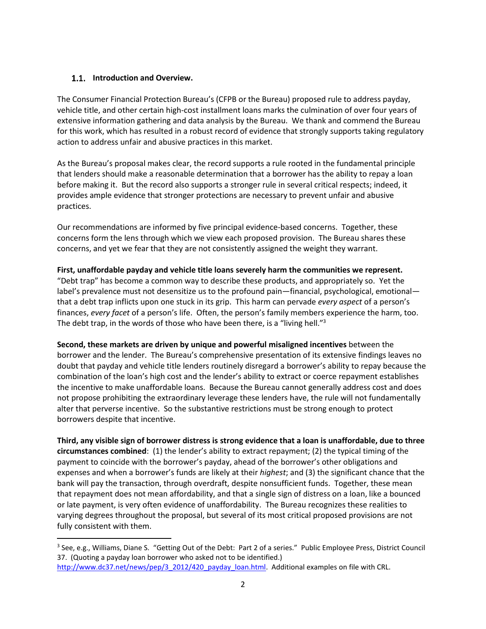#### **Introduction and Overview.**

 $\overline{\phantom{a}}$ 

The Consumer Financial Protection Bureau's (CFPB or the Bureau) proposed rule to address payday, vehicle title, and other certain high-cost installment loans marks the culmination of over four years of extensive information gathering and data analysis by the Bureau. We thank and commend the Bureau for this work, which has resulted in a robust record of evidence that strongly supports taking regulatory action to address unfair and abusive practices in this market.

As the Bureau's proposal makes clear, the record supports a rule rooted in the fundamental principle that lenders should make a reasonable determination that a borrower has the ability to repay a loan before making it. But the record also supports a stronger rule in several critical respects; indeed, it provides ample evidence that stronger protections are necessary to prevent unfair and abusive practices.

Our recommendations are informed by five principal evidence-based concerns. Together, these concerns form the lens through which we view each proposed provision. The Bureau shares these concerns, and yet we fear that they are not consistently assigned the weight they warrant.

### **First, unaffordable payday and vehicle title loans severely harm the communities we represent.** "Debt trap" has become a common way to describe these products, and appropriately so. Yet the label's prevalence must not desensitize us to the profound pain—financial, psychological, emotional that a debt trap inflicts upon one stuck in its grip. This harm can pervade *every aspect* of a person's finances, *every facet* of a person's life. Often, the person's family members experience the harm, too. The debt trap, in the words of those who have been there, is a "living hell."<sup>3</sup>

**Second, these markets are driven by unique and powerful misaligned incentives** between the borrower and the lender. The Bureau's comprehensive presentation of its extensive findings leaves no doubt that payday and vehicle title lenders routinely disregard a borrower's ability to repay because the combination of the loan's high cost and the lender's ability to extract or coerce repayment establishes the incentive to make unaffordable loans. Because the Bureau cannot generally address cost and does not propose prohibiting the extraordinary leverage these lenders have, the rule will not fundamentally alter that perverse incentive. So the substantive restrictions must be strong enough to protect borrowers despite that incentive.

**Third, any visible sign of borrower distress is strong evidence that a loan is unaffordable, due to three circumstances combined**: (1) the lender's ability to extract repayment; (2) the typical timing of the payment to coincide with the borrower's payday, ahead of the borrower's other obligations and expenses and when a borrower's funds are likely at their *highest*; and (3) the significant chance that the bank will pay the transaction, through overdraft, despite nonsufficient funds. Together, these mean that repayment does not mean affordability, and that a single sign of distress on a loan, like a bounced or late payment, is very often evidence of unaffordability. The Bureau recognizes these realities to varying degrees throughout the proposal, but several of its most critical proposed provisions are not fully consistent with them.

<sup>&</sup>lt;sup>3</sup> See, e.g., Williams, Diane S. "Getting Out of the Debt: Part 2 of a series." Public Employee Press, District Council 37. (Quoting a payday loan borrower who asked not to be identified.) [http://www.dc37.net/news/pep/3\\_2012/420\\_payday\\_loan.html.](http://www.dc37.net/news/pep/3_2012/420_payday_loan.html) Additional examples on file with CRL.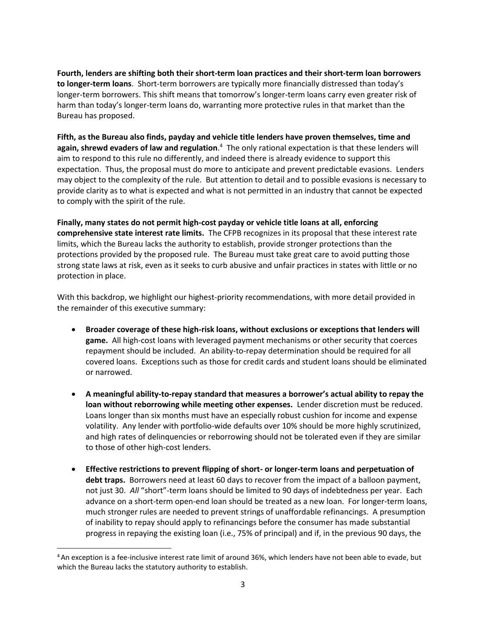**Fourth, lenders are shifting both their short-term loan practices and their short-term loan borrowers to longer-term loans**. Short-term borrowers are typically more financially distressed than today's longer-term borrowers. This shift means that tomorrow's longer-term loans carry even greater risk of harm than today's longer-term loans do, warranting more protective rules in that market than the Bureau has proposed.

**Fifth, as the Bureau also finds, payday and vehicle title lenders have proven themselves, time and**  again, shrewd evaders of law and regulation.<sup>4</sup> The only rational expectation is that these lenders will aim to respond to this rule no differently, and indeed there is already evidence to support this expectation. Thus, the proposal must do more to anticipate and prevent predictable evasions. Lenders may object to the complexity of the rule. But attention to detail and to possible evasions is necessary to provide clarity as to what is expected and what is not permitted in an industry that cannot be expected to comply with the spirit of the rule.

**Finally, many states do not permit high-cost payday or vehicle title loans at all, enforcing comprehensive state interest rate limits.** The CFPB recognizes in its proposal that these interest rate limits, which the Bureau lacks the authority to establish, provide stronger protections than the protections provided by the proposed rule. The Bureau must take great care to avoid putting those strong state laws at risk, even as it seeks to curb abusive and unfair practices in states with little or no protection in place.

With this backdrop, we highlight our highest-priority recommendations, with more detail provided in the remainder of this executive summary:

- **Broader coverage of these high-risk loans, without exclusions or exceptions that lenders will game.** All high-cost loans with leveraged payment mechanisms or other security that coerces repayment should be included. An ability-to-repay determination should be required for all covered loans. Exceptions such as those for credit cards and student loans should be eliminated or narrowed.
- **A meaningful ability-to-repay standard that measures a borrower's actual ability to repay the loan without reborrowing while meeting other expenses.** Lender discretion must be reduced. Loans longer than six months must have an especially robust cushion for income and expense volatility. Any lender with portfolio-wide defaults over 10% should be more highly scrutinized, and high rates of delinquencies or reborrowing should not be tolerated even if they are similar to those of other high-cost lenders.
- **Effective restrictions to prevent flipping of short- or longer-term loans and perpetuation of debt traps.** Borrowers need at least 60 days to recover from the impact of a balloon payment, not just 30. *All* "short"-term loans should be limited to 90 days of indebtedness per year. Each advance on a short-term open-end loan should be treated as a new loan. For longer-term loans, much stronger rules are needed to prevent strings of unaffordable refinancings. A presumption of inability to repay should apply to refinancings before the consumer has made substantial progress in repaying the existing loan (i.e., 75% of principal) and if, in the previous 90 days, the

l

<sup>4</sup>An exception is a fee-inclusive interest rate limit of around 36%, which lenders have not been able to evade, but which the Bureau lacks the statutory authority to establish.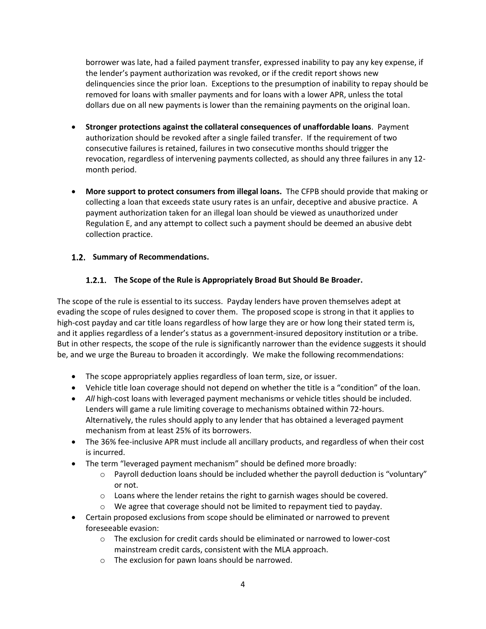borrower was late, had a failed payment transfer, expressed inability to pay any key expense, if the lender's payment authorization was revoked, or if the credit report shows new delinquencies since the prior loan. Exceptions to the presumption of inability to repay should be removed for loans with smaller payments and for loans with a lower APR, unless the total dollars due on all new payments is lower than the remaining payments on the original loan.

- **Stronger protections against the collateral consequences of unaffordable loans**. Payment authorization should be revoked after a single failed transfer. If the requirement of two consecutive failures is retained, failures in two consecutive months should trigger the revocation, regardless of intervening payments collected, as should any three failures in any 12 month period.
- **More support to protect consumers from illegal loans.** The CFPB should provide that making or collecting a loan that exceeds state usury rates is an unfair, deceptive and abusive practice. A payment authorization taken for an illegal loan should be viewed as unauthorized under Regulation E, and any attempt to collect such a payment should be deemed an abusive debt collection practice.

# 1.2. Summary of Recommendations.

# **The Scope of the Rule is Appropriately Broad But Should Be Broader.**

The scope of the rule is essential to its success. Payday lenders have proven themselves adept at evading the scope of rules designed to cover them. The proposed scope is strong in that it applies to high-cost payday and car title loans regardless of how large they are or how long their stated term is, and it applies regardless of a lender's status as a government-insured depository institution or a tribe. But in other respects, the scope of the rule is significantly narrower than the evidence suggests it should be, and we urge the Bureau to broaden it accordingly. We make the following recommendations:

- The scope appropriately applies regardless of loan term, size, or issuer.
- Vehicle title loan coverage should not depend on whether the title is a "condition" of the loan.
- *All* high-cost loans with leveraged payment mechanisms or vehicle titles should be included. Lenders will game a rule limiting coverage to mechanisms obtained within 72-hours. Alternatively, the rules should apply to any lender that has obtained a leveraged payment mechanism from at least 25% of its borrowers.
- The 36% fee-inclusive APR must include all ancillary products, and regardless of when their cost is incurred.
- The term "leveraged payment mechanism" should be defined more broadly:
	- $\circ$  Payroll deduction loans should be included whether the payroll deduction is "voluntary" or not.
	- o Loans where the lender retains the right to garnish wages should be covered.
	- o We agree that coverage should not be limited to repayment tied to payday.
- Certain proposed exclusions from scope should be eliminated or narrowed to prevent foreseeable evasion:
	- $\circ$  The exclusion for credit cards should be eliminated or narrowed to lower-cost mainstream credit cards, consistent with the MLA approach.
	- o The exclusion for pawn loans should be narrowed.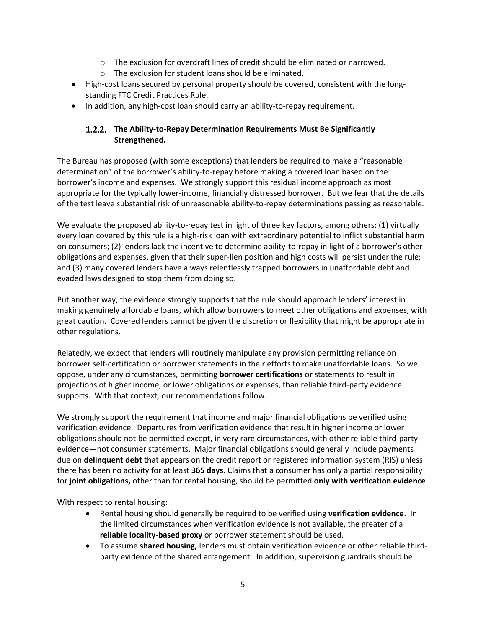- $\circ$  The exclusion for overdraft lines of credit should be eliminated or narrowed.
- o The exclusion for student loans should be eliminated.
- High-cost loans secured by personal property should be covered, consistent with the longstanding FTC Credit Practices Rule.
- In addition, any high-cost loan should carry an ability-to-repay requirement.

### **The Ability-to-Repay Determination Requirements Must Be Significantly Strengthened.**

The Bureau has proposed (with some exceptions) that lenders be required to make a "reasonable determination" of the borrower's ability-to-repay before making a covered loan based on the borrower's income and expenses. We strongly support this residual income approach as most appropriate for the typically lower-income, financially distressed borrower. But we fear that the details of the test leave substantial risk of unreasonable ability-to-repay determinations passing as reasonable.

We evaluate the proposed ability-to-repay test in light of three key factors, among others: (1) virtually every loan covered by this rule is a high-risk loan with extraordinary potential to inflict substantial harm on consumers; (2) lenders lack the incentive to determine ability-to-repay in light of a borrower's other obligations and expenses, given that their super-lien position and high costs will persist under the rule; and (3) many covered lenders have always relentlessly trapped borrowers in unaffordable debt and evaded laws designed to stop them from doing so.

Put another way, the evidence strongly supports that the rule should approach lenders' interest in making genuinely affordable loans, which allow borrowers to meet other obligations and expenses, with great caution. Covered lenders cannot be given the discretion or flexibility that might be appropriate in other regulations.

Relatedly, we expect that lenders will routinely manipulate any provision permitting reliance on borrower self-certification or borrower statements in their efforts to make unaffordable loans. So we oppose, under any circumstances, permitting **borrower certifications** or statements to result in projections of higher income, or lower obligations or expenses, than reliable third-party evidence supports. With that context, our recommendations follow.

We strongly support the requirement that income and major financial obligations be verified using verification evidence. Departures from verification evidence that result in higher income or lower obligations should not be permitted except, in very rare circumstances, with other reliable third-party evidence—not consumer statements.Major financial obligations should generally include payments due on **delinquent debt** that appears on the credit report or registered information system (RIS) unless there has been no activity for at least **365 days**. Claims that a consumer has only a partial responsibility for **joint obligations,** other than for rental housing, should be permitted **only with verification evidence**.

With respect to rental housing:

- Rental housing should generally be required to be verified using **verification evidence**. In the limited circumstances when verification evidence is not available, the greater of a **reliable locality-based proxy** or borrower statement should be used.
- To assume **shared housing,** lenders must obtain verification evidence or other reliable thirdparty evidence of the shared arrangement. In addition, supervision guardrails should be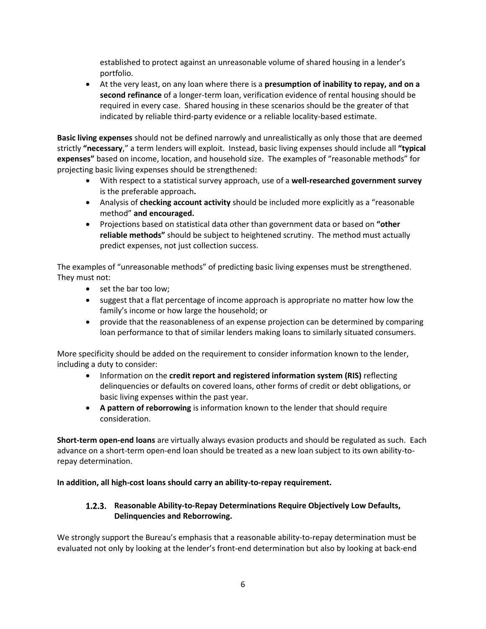established to protect against an unreasonable volume of shared housing in a lender's portfolio.

 At the very least, on any loan where there is a **presumption of inability to repay, and on a second refinance** of a longer-term loan, verification evidence of rental housing should be required in every case. Shared housing in these scenarios should be the greater of that indicated by reliable third-party evidence or a reliable locality-based estimate.

**Basic living expenses** should not be defined narrowly and unrealistically as only those that are deemed strictly **"necessary**," a term lenders will exploit. Instead, basic living expenses should include all **"typical expenses"** based on income, location, and household size. The examples of "reasonable methods" for projecting basic living expenses should be strengthened:

- With respect to a statistical survey approach, use of a **well-researched government survey**  is the preferable approach**.**
- Analysis of **checking account activity** should be included more explicitly as a "reasonable method" **and encouraged.**
- Projections based on statistical data other than government data or based on **"other reliable methods"** should be subject to heightened scrutiny. The method must actually predict expenses, not just collection success.

The examples of "unreasonable methods" of predicting basic living expenses must be strengthened. They must not:

- set the bar too low;
- suggest that a flat percentage of income approach is appropriate no matter how low the family's income or how large the household; or
- provide that the reasonableness of an expense projection can be determined by comparing loan performance to that of similar lenders making loans to similarly situated consumers.

More specificity should be added on the requirement to consider information known to the lender, including a duty to consider:

- Information on the **credit report and registered information system (RIS)** reflecting delinquencies or defaults on covered loans, other forms of credit or debt obligations, or basic living expenses within the past year.
- **A pattern of reborrowing** is information known to the lender that should require consideration.

**Short-term open-end loans** are virtually always evasion products and should be regulated as such. Each advance on a short-term open-end loan should be treated as a new loan subject to its own ability-torepay determination.

### **In addition, all high-cost loans should carry an ability-to-repay requirement.**

### **Reasonable Ability-to-Repay Determinations Require Objectively Low Defaults, Delinquencies and Reborrowing.**

We strongly support the Bureau's emphasis that a reasonable ability-to-repay determination must be evaluated not only by looking at the lender's front-end determination but also by looking at back-end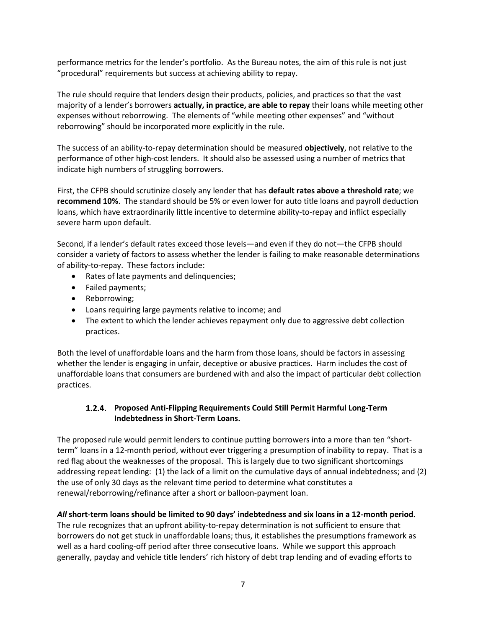performance metrics for the lender's portfolio. As the Bureau notes, the aim of this rule is not just "procedural" requirements but success at achieving ability to repay.

The rule should require that lenders design their products, policies, and practices so that the vast majority of a lender's borrowers **actually, in practice, are able to repay** their loans while meeting other expenses without reborrowing. The elements of "while meeting other expenses" and "without reborrowing" should be incorporated more explicitly in the rule.

The success of an ability-to-repay determination should be measured **objectively**, not relative to the performance of other high-cost lenders. It should also be assessed using a number of metrics that indicate high numbers of struggling borrowers.

First, the CFPB should scrutinize closely any lender that has **default rates above a threshold rate**; we **recommend 10%**. The standard should be 5% or even lower for auto title loans and payroll deduction loans, which have extraordinarily little incentive to determine ability-to-repay and inflict especially severe harm upon default.

Second, if a lender's default rates exceed those levels—and even if they do not—the CFPB should consider a variety of factors to assess whether the lender is failing to make reasonable determinations of ability-to-repay. These factors include:

- Rates of late payments and delinquencies;
- Failed payments;
- Reborrowing;
- Loans requiring large payments relative to income; and
- The extent to which the lender achieves repayment only due to aggressive debt collection practices.

Both the level of unaffordable loans and the harm from those loans, should be factors in assessing whether the lender is engaging in unfair, deceptive or abusive practices. Harm includes the cost of unaffordable loans that consumers are burdened with and also the impact of particular debt collection practices.

### **Proposed Anti-Flipping Requirements Could Still Permit Harmful Long-Term Indebtedness in Short-Term Loans.**

The proposed rule would permit lenders to continue putting borrowers into a more than ten "shortterm" loans in a 12-month period, without ever triggering a presumption of inability to repay. That is a red flag about the weaknesses of the proposal. This is largely due to two significant shortcomings addressing repeat lending: (1) the lack of a limit on the cumulative days of annual indebtedness; and (2) the use of only 30 days as the relevant time period to determine what constitutes a renewal/reborrowing/refinance after a short or balloon-payment loan.

### *All* **short-term loans should be limited to 90 days' indebtedness and six loans in a 12-month period.**

The rule recognizes that an upfront ability-to-repay determination is not sufficient to ensure that borrowers do not get stuck in unaffordable loans; thus, it establishes the presumptions framework as well as a hard cooling-off period after three consecutive loans. While we support this approach generally, payday and vehicle title lenders' rich history of debt trap lending and of evading efforts to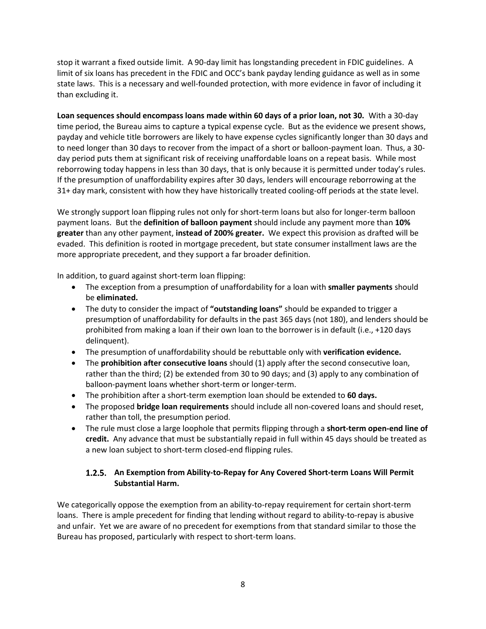stop it warrant a fixed outside limit. A 90-day limit has longstanding precedent in FDIC guidelines. A limit of six loans has precedent in the FDIC and OCC's bank payday lending guidance as well as in some state laws. This is a necessary and well-founded protection, with more evidence in favor of including it than excluding it.

**Loan sequences should encompass loans made within 60 days of a prior loan, not 30.** With a 30-day time period, the Bureau aims to capture a typical expense cycle. But as the evidence we present shows, payday and vehicle title borrowers are likely to have expense cycles significantly longer than 30 days and to need longer than 30 days to recover from the impact of a short or balloon-payment loan. Thus, a 30 day period puts them at significant risk of receiving unaffordable loans on a repeat basis. While most reborrowing today happens in less than 30 days, that is only because it is permitted under today's rules. If the presumption of unaffordability expires after 30 days, lenders will encourage reborrowing at the 31+ day mark, consistent with how they have historically treated cooling-off periods at the state level.

We strongly support loan flipping rules not only for short-term loans but also for longer-term balloon payment loans. But the **definition of balloon payment** should include any payment more than **10% greater** than any other payment, **instead of 200% greater.** We expect this provision as drafted will be evaded. This definition is rooted in mortgage precedent, but state consumer installment laws are the more appropriate precedent, and they support a far broader definition.

In addition, to guard against short-term loan flipping:

- The exception from a presumption of unaffordability for a loan with **smaller payments** should be **eliminated.**
- The duty to consider the impact of **"outstanding loans"** should be expanded to trigger a presumption of unaffordability for defaults in the past 365 days (not 180), and lenders should be prohibited from making a loan if their own loan to the borrower is in default (i.e., +120 days delinquent).
- The presumption of unaffordability should be rebuttable only with **verification evidence.**
- The **prohibition after consecutive loans** should (1) apply after the second consecutive loan, rather than the third; (2) be extended from 30 to 90 days; and (3) apply to any combination of balloon-payment loans whether short-term or longer-term.
- The prohibition after a short-term exemption loan should be extended to **60 days.**
- The proposed **bridge loan requirements** should include all non-covered loans and should reset, rather than toll, the presumption period.
- The rule must close a large loophole that permits flipping through a **short-term open-end line of credit.** Any advance that must be substantially repaid in full within 45 days should be treated as a new loan subject to short-term closed-end flipping rules.

### **An Exemption from Ability-to-Repay for Any Covered Short-term Loans Will Permit Substantial Harm.**

We categorically oppose the exemption from an ability-to-repay requirement for certain short-term loans. There is ample precedent for finding that lending without regard to ability-to-repay is abusive and unfair. Yet we are aware of no precedent for exemptions from that standard similar to those the Bureau has proposed, particularly with respect to short-term loans.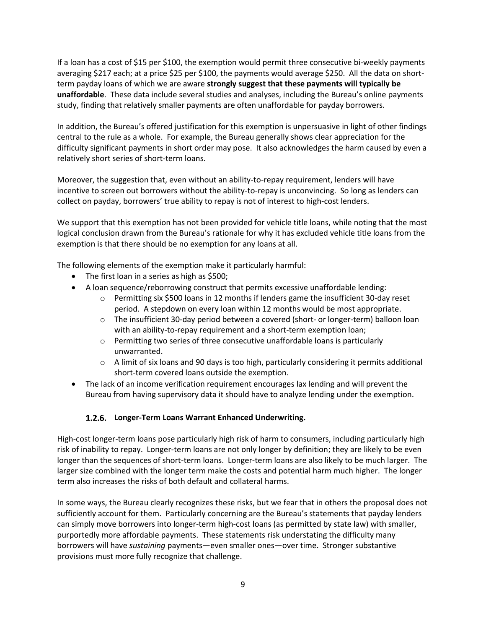If a loan has a cost of \$15 per \$100, the exemption would permit three consecutive bi-weekly payments averaging \$217 each; at a price \$25 per \$100, the payments would average \$250. All the data on shortterm payday loans of which we are aware **strongly suggest that these payments will typically be unaffordable**. These data include several studies and analyses, including the Bureau's online payments study, finding that relatively smaller payments are often unaffordable for payday borrowers.

In addition, the Bureau's offered justification for this exemption is unpersuasive in light of other findings central to the rule as a whole. For example, the Bureau generally shows clear appreciation for the difficulty significant payments in short order may pose. It also acknowledges the harm caused by even a relatively short series of short-term loans.

Moreover, the suggestion that, even without an ability-to-repay requirement, lenders will have incentive to screen out borrowers without the ability-to-repay is unconvincing. So long as lenders can collect on payday, borrowers' true ability to repay is not of interest to high-cost lenders.

We support that this exemption has not been provided for vehicle title loans, while noting that the most logical conclusion drawn from the Bureau's rationale for why it has excluded vehicle title loans from the exemption is that there should be no exemption for any loans at all.

The following elements of the exemption make it particularly harmful:

- The first loan in a series as high as \$500;
- A loan sequence/reborrowing construct that permits excessive unaffordable lending:
	- $\circ$  Permitting six \$500 loans in 12 months if lenders game the insufficient 30-day reset period. A stepdown on every loan within 12 months would be most appropriate.
	- $\circ$  The insufficient 30-day period between a covered (short- or longer-term) balloon loan with an ability-to-repay requirement and a short-term exemption loan;
	- o Permitting two series of three consecutive unaffordable loans is particularly unwarranted.
	- $\circ$  A limit of six loans and 90 days is too high, particularly considering it permits additional short-term covered loans outside the exemption.
- The lack of an income verification requirement encourages lax lending and will prevent the Bureau from having supervisory data it should have to analyze lending under the exemption.

### **Longer-Term Loans Warrant Enhanced Underwriting.**

High-cost longer-term loans pose particularly high risk of harm to consumers, including particularly high risk of inability to repay. Longer-term loans are not only longer by definition; they are likely to be even longer than the sequences of short-term loans. Longer-term loans are also likely to be much larger. The larger size combined with the longer term make the costs and potential harm much higher. The longer term also increases the risks of both default and collateral harms.

In some ways, the Bureau clearly recognizes these risks, but we fear that in others the proposal does not sufficiently account for them. Particularly concerning are the Bureau's statements that payday lenders can simply move borrowers into longer-term high-cost loans (as permitted by state law) with smaller, purportedly more affordable payments. These statements risk understating the difficulty many borrowers will have *sustaining* payments—even smaller ones—over time. Stronger substantive provisions must more fully recognize that challenge.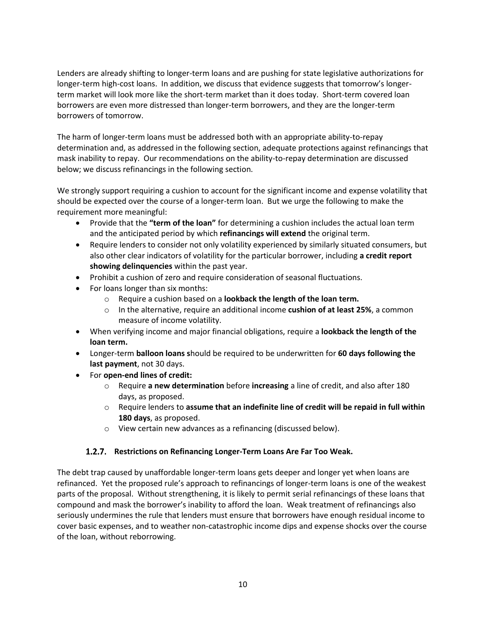Lenders are already shifting to longer-term loans and are pushing for state legislative authorizations for longer-term high-cost loans. In addition, we discuss that evidence suggests that tomorrow's longerterm market will look more like the short-term market than it does today. Short-term covered loan borrowers are even more distressed than longer-term borrowers, and they are the longer-term borrowers of tomorrow.

The harm of longer-term loans must be addressed both with an appropriate ability-to-repay determination and, as addressed in the following section, adequate protections against refinancings that mask inability to repay. Our recommendations on the ability-to-repay determination are discussed below; we discuss refinancings in the following section.

We strongly support requiring a cushion to account for the significant income and expense volatility that should be expected over the course of a longer-term loan. But we urge the following to make the requirement more meaningful:

- Provide that the **"term of the loan"** for determining a cushion includes the actual loan term and the anticipated period by which **refinancings will extend** the original term.
- Require lenders to consider not only volatility experienced by similarly situated consumers, but also other clear indicators of volatility for the particular borrower, including **a credit report showing delinquencies** within the past year.
- Prohibit a cushion of zero and require consideration of seasonal fluctuations.
- For loans longer than six months:
	- o Require a cushion based on a **lookback the length of the loan term.**
	- o In the alternative, require an additional income **cushion of at least 25%**, a common measure of income volatility.
- When verifying income and major financial obligations, require a **lookback the length of the loan term.**
- Longer-term **balloon loans s**hould be required to be underwritten for **60 days following the last payment**, not 30 days.
- For **open-end lines of credit:**
	- o Require **a new determination** before **increasing** a line of credit, and also after 180 days, as proposed.
	- o Require lenders to **assume that an indefinite line of credit will be repaid in full within 180 days**, as proposed.
	- o View certain new advances as a refinancing (discussed below).

# **Restrictions on Refinancing Longer-Term Loans Are Far Too Weak.**

The debt trap caused by unaffordable longer-term loans gets deeper and longer yet when loans are refinanced. Yet the proposed rule's approach to refinancings of longer-term loans is one of the weakest parts of the proposal. Without strengthening, it is likely to permit serial refinancings of these loans that compound and mask the borrower's inability to afford the loan. Weak treatment of refinancings also seriously undermines the rule that lenders must ensure that borrowers have enough residual income to cover basic expenses, and to weather non-catastrophic income dips and expense shocks over the course of the loan, without reborrowing.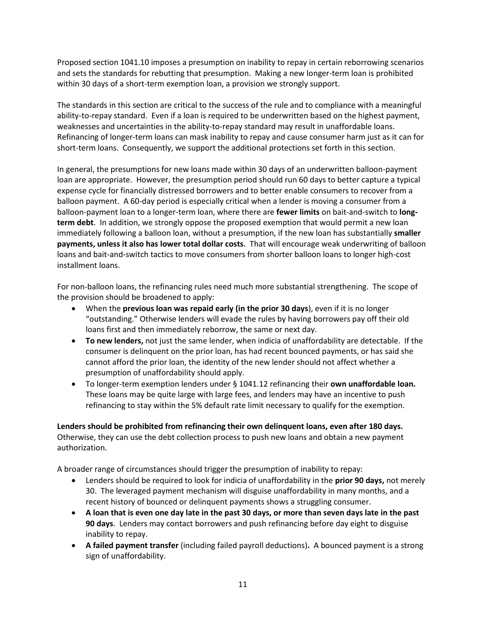Proposed section 1041.10 imposes a presumption on inability to repay in certain reborrowing scenarios and sets the standards for rebutting that presumption. Making a new longer-term loan is prohibited within 30 days of a short-term exemption loan, a provision we strongly support.

The standards in this section are critical to the success of the rule and to compliance with a meaningful ability-to-repay standard. Even if a loan is required to be underwritten based on the highest payment, weaknesses and uncertainties in the ability-to-repay standard may result in unaffordable loans. Refinancing of longer-term loans can mask inability to repay and cause consumer harm just as it can for short-term loans. Consequently, we support the additional protections set forth in this section.

In general, the presumptions for new loans made within 30 days of an underwritten balloon-payment loan are appropriate. However, the presumption period should run 60 days to better capture a typical expense cycle for financially distressed borrowers and to better enable consumers to recover from a balloon payment. A 60-day period is especially critical when a lender is moving a consumer from a balloon-payment loan to a longer-term loan, where there are **fewer limits** on bait-and-switch to **longterm debt**. In addition, we strongly oppose the proposed exemption that would permit a new loan immediately following a balloon loan, without a presumption, if the new loan has substantially **smaller payments, unless it also has lower total dollar costs**. That will encourage weak underwriting of balloon loans and bait-and-switch tactics to move consumers from shorter balloon loans to longer high-cost installment loans.

For non-balloon loans, the refinancing rules need much more substantial strengthening. The scope of the provision should be broadened to apply:

- When the **previous loan was repaid early (in the prior 30 days**), even if it is no longer "outstanding." Otherwise lenders will evade the rules by having borrowers pay off their old loans first and then immediately reborrow, the same or next day.
- **To new lenders,** not just the same lender, when indicia of unaffordability are detectable. If the consumer is delinquent on the prior loan, has had recent bounced payments, or has said she cannot afford the prior loan, the identity of the new lender should not affect whether a presumption of unaffordability should apply.
- To longer-term exemption lenders under § 1041.12 refinancing their **own unaffordable loan.**  These loans may be quite large with large fees, and lenders may have an incentive to push refinancing to stay within the 5% default rate limit necessary to qualify for the exemption.

**Lenders should be prohibited from refinancing their own delinquent loans, even after 180 days.**  Otherwise, they can use the debt collection process to push new loans and obtain a new payment authorization.

A broader range of circumstances should trigger the presumption of inability to repay:

- Lenders should be required to look for indicia of unaffordability in the **prior 90 days,** not merely 30. The leveraged payment mechanism will disguise unaffordability in many months, and a recent history of bounced or delinquent payments shows a struggling consumer.
- **A loan that is even one day late in the past 30 days, or more than seven days late in the past 90 days**. Lenders may contact borrowers and push refinancing before day eight to disguise inability to repay.
- **A failed payment transfer** (including failed payroll deductions)**.** A bounced payment is a strong sign of unaffordability.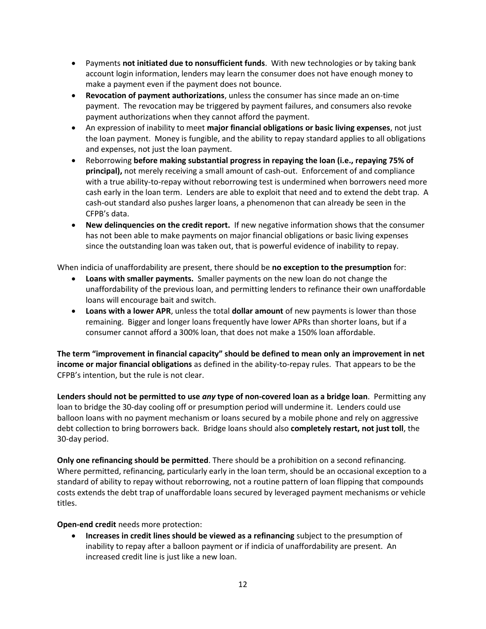- Payments **not initiated due to nonsufficient funds**. With new technologies or by taking bank account login information, lenders may learn the consumer does not have enough money to make a payment even if the payment does not bounce.
- **Revocation of payment authorizations**, unless the consumer has since made an on-time payment. The revocation may be triggered by payment failures, and consumers also revoke payment authorizations when they cannot afford the payment.
- An expression of inability to meet **major financial obligations or basic living expenses**, not just the loan payment. Money is fungible, and the ability to repay standard applies to all obligations and expenses, not just the loan payment.
- Reborrowing **before making substantial progress in repaying the loan (i.e., repaying 75% of principal),** not merely receiving a small amount of cash-out. Enforcement of and compliance with a true ability-to-repay without reborrowing test is undermined when borrowers need more cash early in the loan term. Lenders are able to exploit that need and to extend the debt trap. A cash-out standard also pushes larger loans, a phenomenon that can already be seen in the CFPB's data.
- **New delinquencies on the credit report.** If new negative information shows that the consumer has not been able to make payments on major financial obligations or basic living expenses since the outstanding loan was taken out, that is powerful evidence of inability to repay.

When indicia of unaffordability are present, there should be **no exception to the presumption** for:

- **Loans with smaller payments.** Smaller payments on the new loan do not change the unaffordability of the previous loan, and permitting lenders to refinance their own unaffordable loans will encourage bait and switch.
- **Loans with a lower APR**, unless the total **dollar amount** of new payments is lower than those remaining. Bigger and longer loans frequently have lower APRs than shorter loans, but if a consumer cannot afford a 300% loan, that does not make a 150% loan affordable.

**The term "improvement in financial capacity" should be defined to mean only an improvement in net income or major financial obligations** as defined in the ability-to-repay rules. That appears to be the CFPB's intention, but the rule is not clear.

**Lenders should not be permitted to use** *any* **type of non-covered loan as a bridge loan**. Permitting any loan to bridge the 30-day cooling off or presumption period will undermine it. Lenders could use balloon loans with no payment mechanism or loans secured by a mobile phone and rely on aggressive debt collection to bring borrowers back. Bridge loans should also **completely restart, not just toll**, the 30-day period.

**Only one refinancing should be permitted**. There should be a prohibition on a second refinancing. Where permitted, refinancing, particularly early in the loan term, should be an occasional exception to a standard of ability to repay without reborrowing, not a routine pattern of loan flipping that compounds costs extends the debt trap of unaffordable loans secured by leveraged payment mechanisms or vehicle titles.

#### **Open-end credit** needs more protection:

 **Increases in credit lines should be viewed as a refinancing** subject to the presumption of inability to repay after a balloon payment or if indicia of unaffordability are present. An increased credit line is just like a new loan.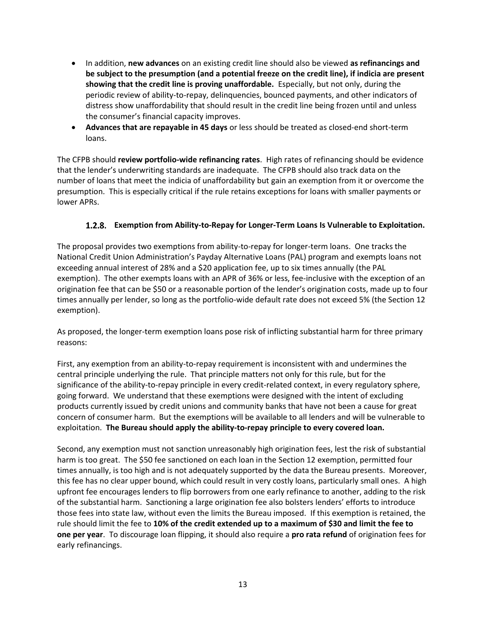- In addition, **new advances** on an existing credit line should also be viewed **as refinancings and be subject to the presumption (and a potential freeze on the credit line), if indicia are present showing that the credit line is proving unaffordable.** Especially, but not only, during the periodic review of ability-to-repay, delinquencies, bounced payments, and other indicators of distress show unaffordability that should result in the credit line being frozen until and unless the consumer's financial capacity improves.
- **Advances that are repayable in 45 days** or less should be treated as closed-end short-term loans.

The CFPB should **review portfolio-wide refinancing rates**. High rates of refinancing should be evidence that the lender's underwriting standards are inadequate. The CFPB should also track data on the number of loans that meet the indicia of unaffordability but gain an exemption from it or overcome the presumption. This is especially critical if the rule retains exceptions for loans with smaller payments or lower APRs.

### **Exemption from Ability-to-Repay for Longer-Term Loans Is Vulnerable to Exploitation.**

The proposal provides two exemptions from ability-to-repay for longer-term loans. One tracks the National Credit Union Administration's Payday Alternative Loans (PAL) program and exempts loans not exceeding annual interest of 28% and a \$20 application fee, up to six times annually (the PAL exemption). The other exempts loans with an APR of 36% or less, fee-inclusive with the exception of an origination fee that can be \$50 or a reasonable portion of the lender's origination costs, made up to four times annually per lender, so long as the portfolio-wide default rate does not exceed 5% (the Section 12 exemption).

As proposed, the longer-term exemption loans pose risk of inflicting substantial harm for three primary reasons:

First, any exemption from an ability-to-repay requirement is inconsistent with and undermines the central principle underlying the rule. That principle matters not only for this rule, but for the significance of the ability-to-repay principle in every credit-related context, in every regulatory sphere, going forward. We understand that these exemptions were designed with the intent of excluding products currently issued by credit unions and community banks that have not been a cause for great concern of consumer harm. But the exemptions will be available to all lenders and will be vulnerable to exploitation. **The Bureau should apply the ability-to-repay principle to every covered loan.** 

Second, any exemption must not sanction unreasonably high origination fees, lest the risk of substantial harm is too great. The \$50 fee sanctioned on each loan in the Section 12 exemption, permitted four times annually, is too high and is not adequately supported by the data the Bureau presents. Moreover, this fee has no clear upper bound, which could result in very costly loans, particularly small ones. A high upfront fee encourages lenders to flip borrowers from one early refinance to another, adding to the risk of the substantial harm. Sanctioning a large origination fee also bolsters lenders' efforts to introduce those fees into state law, without even the limits the Bureau imposed. If this exemption is retained, the rule should limit the fee to **10% of the credit extended up to a maximum of \$30 and limit the fee to one per year**. To discourage loan flipping, it should also require a **pro rata refund** of origination fees for early refinancings.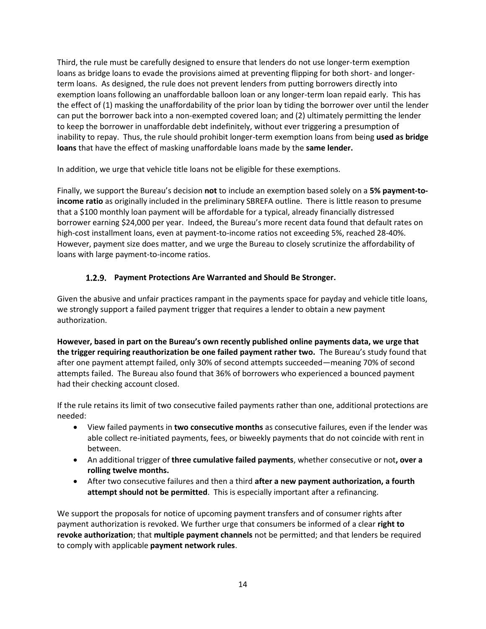Third, the rule must be carefully designed to ensure that lenders do not use longer-term exemption loans as bridge loans to evade the provisions aimed at preventing flipping for both short- and longerterm loans. As designed, the rule does not prevent lenders from putting borrowers directly into exemption loans following an unaffordable balloon loan or any longer-term loan repaid early. This has the effect of (1) masking the unaffordability of the prior loan by tiding the borrower over until the lender can put the borrower back into a non-exempted covered loan; and (2) ultimately permitting the lender to keep the borrower in unaffordable debt indefinitely, without ever triggering a presumption of inability to repay. Thus, the rule should prohibit longer-term exemption loans from being **used as bridge loans** that have the effect of masking unaffordable loans made by the **same lender.**

In addition, we urge that vehicle title loans not be eligible for these exemptions.

Finally, we support the Bureau's decision **not** to include an exemption based solely on a **5% payment-toincome ratio** as originally included in the preliminary SBREFA outline. There is little reason to presume that a \$100 monthly loan payment will be affordable for a typical, already financially distressed borrower earning \$24,000 per year. Indeed, the Bureau's more recent data found that default rates on high-cost installment loans, even at payment-to-income ratios not exceeding 5%, reached 28-40%. However, payment size does matter, and we urge the Bureau to closely scrutinize the affordability of loans with large payment-to-income ratios.

# **Payment Protections Are Warranted and Should Be Stronger.**

Given the abusive and unfair practices rampant in the payments space for payday and vehicle title loans, we strongly support a failed payment trigger that requires a lender to obtain a new payment authorization.

**However, based in part on the Bureau's own recently published online payments data, we urge that the trigger requiring reauthorization be one failed payment rather two.** The Bureau's study found that after one payment attempt failed, only 30% of second attempts succeeded—meaning 70% of second attempts failed. The Bureau also found that 36% of borrowers who experienced a bounced payment had their checking account closed.

If the rule retains its limit of two consecutive failed payments rather than one, additional protections are needed:

- View failed payments in **two consecutive months** as consecutive failures, even if the lender was able collect re-initiated payments, fees, or biweekly payments that do not coincide with rent in between.
- An additional trigger of **three cumulative failed payments**, whether consecutive or not**, over a rolling twelve months.**
- After two consecutive failures and then a third **after a new payment authorization, a fourth attempt should not be permitted**. This is especially important after a refinancing.

We support the proposals for notice of upcoming payment transfers and of consumer rights after payment authorization is revoked. We further urge that consumers be informed of a clear **right to revoke authorization**; that **multiple payment channels** not be permitted; and that lenders be required to comply with applicable **payment network rules**.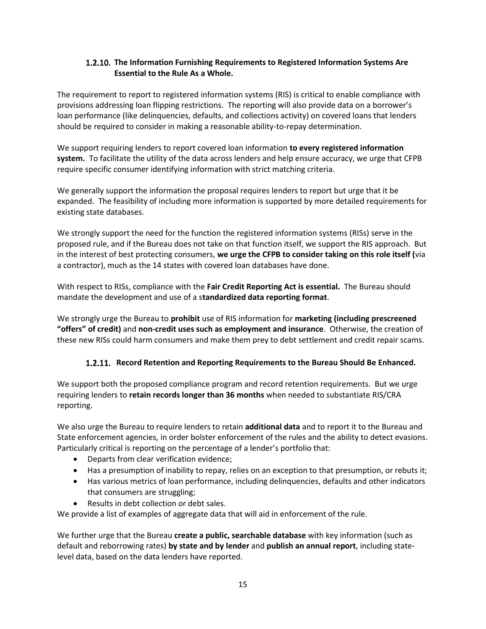### **The Information Furnishing Requirements to Registered Information Systems Are Essential to the Rule As a Whole.**

The requirement to report to registered information systems (RIS) is critical to enable compliance with provisions addressing loan flipping restrictions. The reporting will also provide data on a borrower's loan performance (like delinquencies, defaults, and collections activity) on covered loans that lenders should be required to consider in making a reasonable ability-to-repay determination.

We support requiring lenders to report covered loan information **to every registered information system.** To facilitate the utility of the data across lenders and help ensure accuracy, we urge that CFPB require specific consumer identifying information with strict matching criteria.

We generally support the information the proposal requires lenders to report but urge that it be expanded. The feasibility of including more information is supported by more detailed requirements for existing state databases.

We strongly support the need for the function the registered information systems (RISs) serve in the proposed rule, and if the Bureau does not take on that function itself, we support the RIS approach. But in the interest of best protecting consumers, **we urge the CFPB to consider taking on this role itself (**via a contractor), much as the 14 states with covered loan databases have done.

With respect to RISs, compliance with the **Fair Credit Reporting Act is essential.** The Bureau should mandate the development and use of a s**tandardized data reporting format**.

We strongly urge the Bureau to **prohibit** use of RIS information for **marketing (including prescreened "offers" of credit)** and **non-credit uses such as employment and insurance**. Otherwise, the creation of these new RISs could harm consumers and make them prey to debt settlement and credit repair scams.

# **Record Retention and Reporting Requirements to the Bureau Should Be Enhanced.**

We support both the proposed compliance program and record retention requirements. But we urge requiring lenders to **retain records longer than 36 months** when needed to substantiate RIS/CRA reporting.

We also urge the Bureau to require lenders to retain **additional data** and to report it to the Bureau and State enforcement agencies, in order bolster enforcement of the rules and the ability to detect evasions. Particularly critical is reporting on the percentage of a lender's portfolio that:

- Departs from clear verification evidence;
- Has a presumption of inability to repay, relies on an exception to that presumption, or rebuts it;
- Has various metrics of loan performance, including delinquencies, defaults and other indicators that consumers are struggling;
- Results in debt collection or debt sales.

We provide a list of examples of aggregate data that will aid in enforcement of the rule.

We further urge that the Bureau **create a public, searchable database** with key information (such as default and reborrowing rates) **by state and by lender** and **publish an annual report**, including statelevel data, based on the data lenders have reported.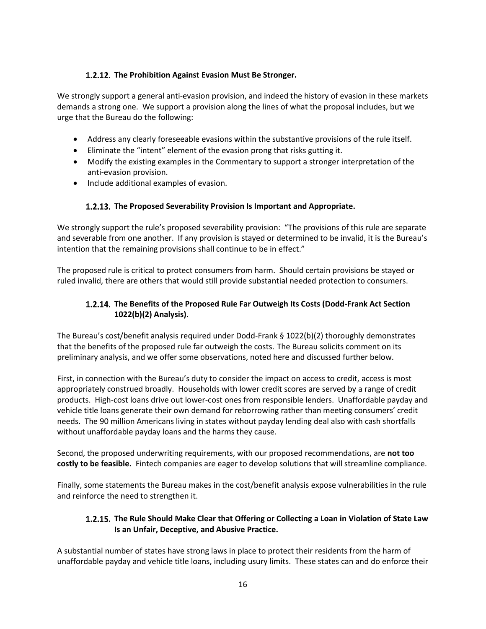### **The Prohibition Against Evasion Must Be Stronger.**

We strongly support a general anti-evasion provision, and indeed the history of evasion in these markets demands a strong one. We support a provision along the lines of what the proposal includes, but we urge that the Bureau do the following:

- Address any clearly foreseeable evasions within the substantive provisions of the rule itself.
- Eliminate the "intent" element of the evasion prong that risks gutting it.
- Modify the existing examples in the Commentary to support a stronger interpretation of the anti-evasion provision.
- Include additional examples of evasion.

# **The Proposed Severability Provision Is Important and Appropriate.**

We strongly support the rule's proposed severability provision: "The provisions of this rule are separate and severable from one another. If any provision is stayed or determined to be invalid, it is the Bureau's intention that the remaining provisions shall continue to be in effect."

The proposed rule is critical to protect consumers from harm. Should certain provisions be stayed or ruled invalid, there are others that would still provide substantial needed protection to consumers.

# **The Benefits of the Proposed Rule Far Outweigh Its Costs (Dodd-Frank Act Section 1022(b)(2) Analysis).**

The Bureau's cost/benefit analysis required under Dodd-Frank § 1022(b)(2) thoroughly demonstrates that the benefits of the proposed rule far outweigh the costs. The Bureau solicits comment on its preliminary analysis, and we offer some observations, noted here and discussed further below.

First, in connection with the Bureau's duty to consider the impact on access to credit, access is most appropriately construed broadly. Households with lower credit scores are served by a range of credit products. High-cost loans drive out lower-cost ones from responsible lenders. Unaffordable payday and vehicle title loans generate their own demand for reborrowing rather than meeting consumers' credit needs. The 90 million Americans living in states without payday lending deal also with cash shortfalls without unaffordable payday loans and the harms they cause.

Second, the proposed underwriting requirements, with our proposed recommendations, are **not too costly to be feasible.** Fintech companies are eager to develop solutions that will streamline compliance.

Finally, some statements the Bureau makes in the cost/benefit analysis expose vulnerabilities in the rule and reinforce the need to strengthen it.

# **The Rule Should Make Clear that Offering or Collecting a Loan in Violation of State Law Is an Unfair, Deceptive, and Abusive Practice.**

A substantial number of states have strong laws in place to protect their residents from the harm of unaffordable payday and vehicle title loans, including usury limits. These states can and do enforce their